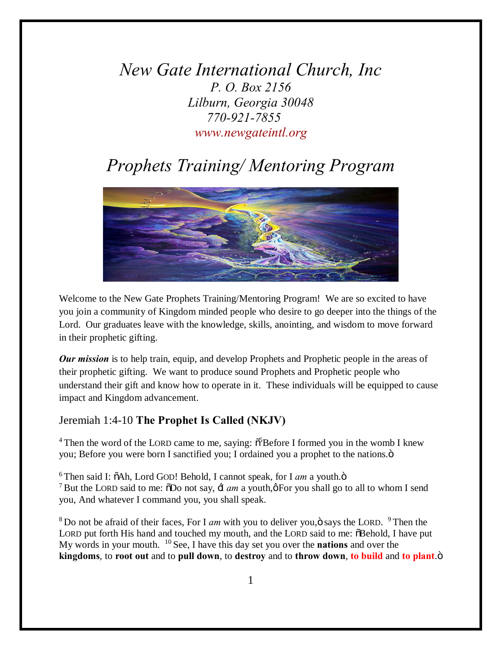*New Gate International Church, Inc P. O. Box 2156 Lilburn, Georgia 30048 770-921-7855 www.newgateintl.org*

## *Prophets Training/ Mentoring Program*



Welcome to the New Gate Prophets Training/Mentoring Program! We are so excited to have you join a community of Kingdom minded people who desire to go deeper into the things of the Lord. Our graduates leave with the knowledge, skills, anointing, and wisdom to move forward in their prophetic gifting.

*Our mission* is to help train, equip, and develop Prophets and Prophetic people in the areas of their prophetic gifting. We want to produce sound Prophets and Prophetic people who understand their gift and know how to operate in it. These individuals will be equipped to cause impact and Kingdom advancement.

#### Jeremiah 1:4-10 **The Prophet Is Called (NKJV)**

<sup>4</sup> Then the word of the LORD came to me, saying:  $\tilde{\sigma}^5$ Before I formed you in the womb I knew you; Before you were born I sanctified you; I ordained you a prophet to the nations. $\ddot{o}$ 

 $6$  Then said I:  $\delta$ Ah, Lord GOD! Behold, I cannot speak, for I *am* a youth. $\ddot{o}$ <sup>7</sup> But the LORD said to me:  $\delta$ Do not say,  $\pm$  *am* a youth, $\phi$ For you shall go to all to whom I send you, And whatever I command you, you shall speak.

 $8$  Do not be afraid of their faces, For I *am* with you to deliver you,  $\ddot{\text{o}}$  says the LORD.  $9$  Then the LORD put forth His hand and touched my mouth, and the LORD said to me:  $\delta$ Behold, I have put My words in your mouth. <sup>10</sup> See, I have this day set you over the **nations** and over the **kingdoms**, to **root** out and to **pull down**, to destroy and to **throw** down, to build and to plant. $\ddot{\text{o}}$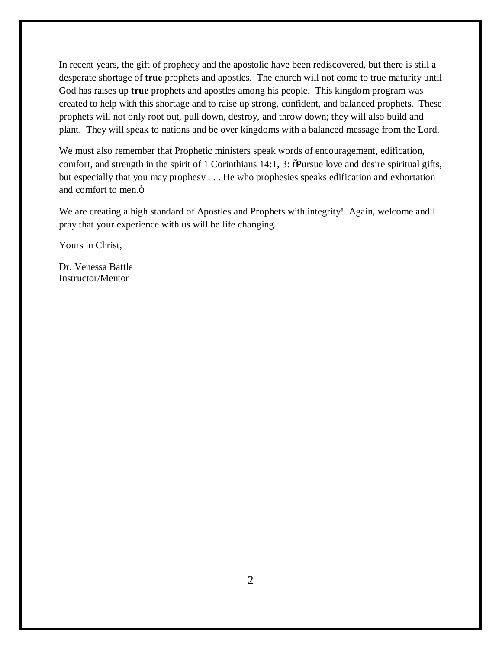In recent years, the gift of prophecy and the apostolic have been rediscovered, but there is still a desperate shortage of **true** prophets and apostles. The church will not come to true maturity until God has raises up **true** prophets and apostles among his people. This kingdom program was created to help with this shortage and to raise up strong, confident, and balanced prophets. These prophets will not only root out, pull down, destroy, and throw down; they will also build and plant. They will speak to nations and be over kingdoms with a balanced message from the Lord.

We must also remember that Prophetic ministers speak words of encouragement, edification, comfort, and strength in the spirit of 1 Corinthians 14:1, 3:  $\delta$ Pursue love and desire spiritual gifts, but especially that you may prophesy . . . He who prophesies speaks edification and exhortation and comfort to men.<sup> $ö$ </sup>

We are creating a high standard of Apostles and Prophets with integrity! Again, welcome and I pray that your experience with us will be life changing.

Yours in Christ,

Dr. Venessa Battle Instructor/Mentor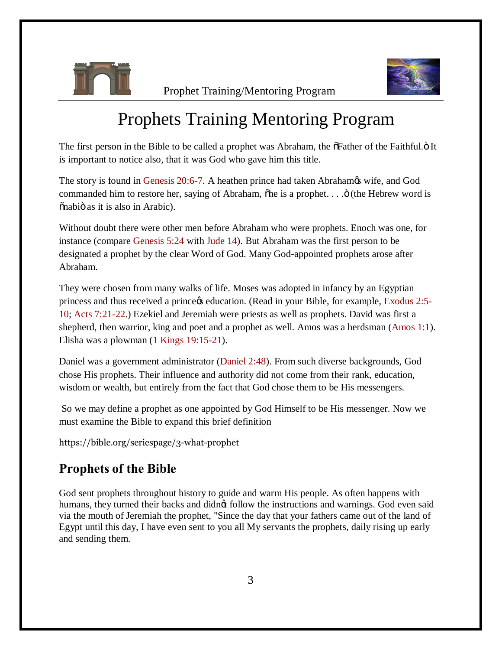

Prophet Training/Mentoring Program



# Prophets Training Mentoring Program

The first person in the Bible to be called a prophet was Abraham, the  $\delta$ Father of the Faithful. $\delta$  It is important to notice also, that it was God who gave him this title.

The story is found in Genesis 20:6-7. A heathen prince had taken Abrahamos wife, and God commanded him to restore her, saying of Abraham,  $\delta$ he is a prophet.  $\ldots$   $\ddot{\rm o}$  (the Hebrew word is  $\ddot{\text{on}}$ abio as it is also in Arabic).

Without doubt there were other men before Abraham who were prophets. Enoch was one, for instance (compare Genesis 5:24 with Jude 14). But Abraham was the first person to be designated a prophet by the clear Word of God. Many God-appointed prophets arose after Abraham.

They were chosen from many walks of life. Moses was adopted in infancy by an Egyptian princess and thus received a prince ts education. (Read in your Bible, for example, Exodus 2:5-10; Acts 7:21-22.) Ezekiel and Jeremiah were priests as well as prophets. David was first a shepherd, then warrior, king and poet and a prophet as well. Amos was a herdsman (Amos 1:1). Elisha was a plowman (1 Kings 19:15-21).

Daniel was a government administrator (Daniel 2:48). From such diverse backgrounds, God chose His prophets. Their influence and authority did not come from their rank, education, wisdom or wealth, but entirely from the fact that God chose them to be His messengers.

So we may define a prophet as one appointed by God Himself to be His messenger. Now we must examine the Bible to expand this brief definition

https://bible.org/seriespage/3-what-prophet

### **Prophets of the Bible**

God sent prophets throughout history to guide and warm His people. As often happens with humans, they turned their backs and didngt follow the instructions and warnings. God even said via the mouth of Jeremiah the prophet, "Since the day that your fathers came out of the land of Egypt until this day, I have even sent to you all My servants the prophets, daily rising up early and sending them.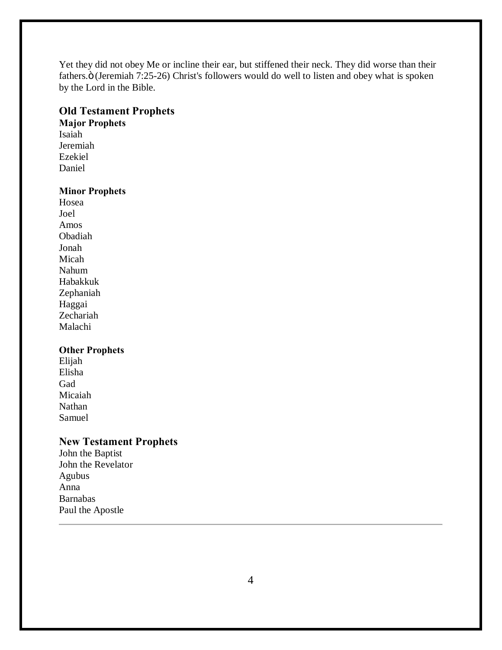Yet they did not obey Me or incline their ear, but stiffened their neck. They did worse than their fathers.ö (Jeremiah 7:25-26) Christ's followers would do well to listen and obey what is spoken by the Lord in the Bible.

#### **Old Testament Prophets**

**Major Prophets**

Isaiah Jeremiah Ezekiel Daniel

#### **Minor Prophets**

Hosea Joel Amos Obadiah Jonah Micah Nahum Habakkuk Zephaniah Haggai Zechariah Malachi

#### **Other Prophets**

Elijah Elisha Gad Micaiah Nathan Samuel

#### **New Testament Prophets**

John the Baptist John the Revelator Agubus Anna Barnabas Paul the Apostle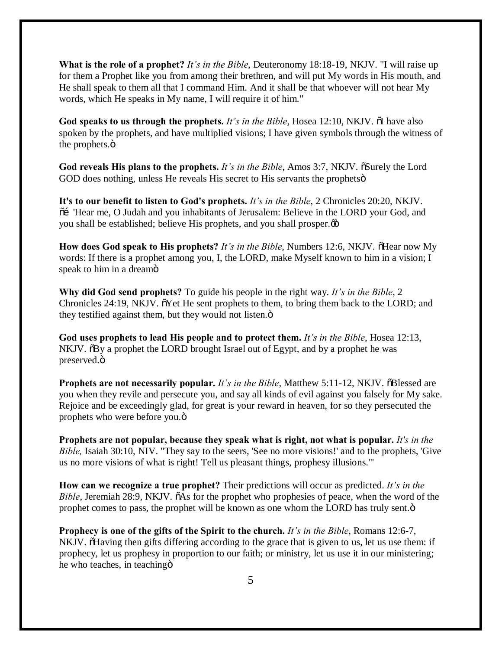**What is the role of a prophet?** *It's in the Bible*, Deuteronomy 18:18-19, NKJV. "I will raise up for them a Prophet like you from among their brethren, and will put My words in His mouth, and He shall speak to them all that I command Him. And it shall be that whoever will not hear My words, which He speaks in My name, I will require it of him."

**God speaks to us through the prophets.** *It's in the Bible*, Hosea 12:10, NKJV.  $\tilde{o}$ I have also spoken by the prophets, and have multiplied visions; I have given symbols through the witness of the prophets. $\ddot{\text{o}}$ 

God reveals His plans to the prophets. *It's in the Bible*, Amos 3:7, NKJV.  $\tilde{\text{o}}$ Surely the Lord GOD does nothing, unless He reveals His secret to His servants the prophets  $\ddot{o}$ 

**It's to our benefit to listen to God's prophets.** *It's in the Bible*, 2 Chronicles 20:20, NKJV.  $\tilde{\text{o}}$  "Hear me, O Judah and you inhabitants of Jerusalem: Believe in the LORD your God, and you shall be established; believe His prophets, and you shall prosper. $\phi$ 

**How does God speak to His prophets?** *It's in the Bible*, Numbers 12:6, NKJV.  $\delta$ Hear now My words: If there is a prophet among you, I, the LORD, make Myself known to him in a vision; I speak to him in a dreamo

**Why did God send prophets?** To guide his people in the right way. *It's in the Bible*, 2 Chronicles 24:19, NKJV.  $\tilde{\text{o}}$ Yet He sent prophets to them, to bring them back to the LORD; and they testified against them, but they would not listen. $\ddot{o}$ 

**God uses prophets to lead His people and to protect them.** *It's in the Bible*, Hosea 12:13, NKJV.  $\delta$ By a prophet the LORD brought Israel out of Egypt, and by a prophet he was preserved. $\ddot{\text{o}}$ 

**Prophets are not necessarily popular.** *It's in the Bible*, Matthew 5:11-12, NKJV.  $\delta$ Blessed are you when they revile and persecute you, and say all kinds of evil against you falsely for My sake. Rejoice and be exceedingly glad, for great is your reward in heaven, for so they persecuted the prophets who were before you. $\ddot{\text{o}}$ 

**Prophets are not popular, because they speak what is right, not what is popular.** *It's in the Bible,* Isaiah 30:10, NIV. "They say to the seers, 'See no more visions!' and to the prophets, 'Give us no more visions of what is right! Tell us pleasant things, prophesy illusions.'"

**How can we recognize a true prophet?** Their predictions will occur as predicted. *It's in the Bible*, Jeremiah 28:9, NKJV.  $\tilde{o}$ As for the prophet who prophesies of peace, when the word of the prophet comes to pass, the prophet will be known as one whom the LORD has truly sent. $\ddot{o}$ 

**Prophecy is one of the gifts of the Spirit to the church.** *It's in the Bible*, Romans 12:6-7, NKJV. That is given to us, let us use them: if prophecy, let us prophesy in proportion to our faith; or ministry, let us use it in our ministering; he who teaches, in teaching  $\ddot{o}$